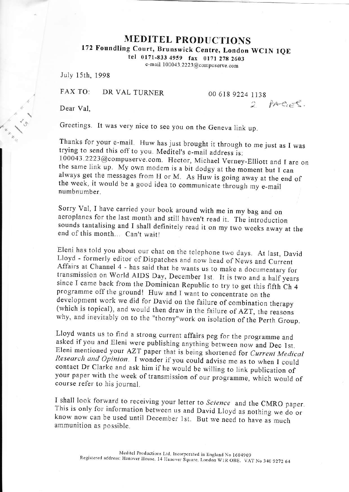## **MEDITEL PRODUCTIONS**

172 Foundling Court, Brunswick Centre, London WC1N 1QE

tel 0171-833 4959 fax 0171 278 2603

e-mail 100043.2223@compuserve.com

July 15th, 1998

FAX TO: DR VAL TURNER

00 618 9224 1138

2 PAGES.

Dear Val.

Greetings. It was very nice to see you on the Geneva link up.

Thanks for your e-mail. Huw has just brought it through to me just as I was trying to send this off to you. Meditel's e-mail address is: 100043.2223@compuserve.com. Hector, Michael Verney-Elliott and I are on the same link up. My own modem is a bit dodgy at the moment but I can always get the messages from H or M. As Huw is going away at the end of the week, it would be a good idea to communicate through my e-mail numbnumber

Sorry Val, I have carried your book around with me in my bag and on aeroplanes for the last month and still haven't read it. The introduction sounds tantalising and I shall definitely read it on my two weeks away at the end of this month... Can't wait!

Eleni has told you about our chat on the telephone two days. At last, David Lloyd - formerly editor of Dispatches and now head of News and Current Affairs at Channel 4 - has said that he wants us to make a documentary for transmission on World AIDS Day, December 1st. It is two and a half years since I came back from the Dominican Republic to try to get this fifth Ch 4 programme off the ground! Huw and I want to concentrate on the development work we did for David on the failure of combination therapy (which is topical), and would then draw in the failure of AZT, the reasons why, and inevitably on to the "thorny" work on isolation of the Perth Group.

Lloyd wants us to find a strong current affairs peg for the programme and asked if you and Eleni were publishing anything between now and Dec 1st. Eleni mentioned your AZT paper that is being shortened for Current Medical Research and Opinion. I wonder if you could advise me as to when I could contact Dr Clarke and ask him if he would be willing to link publication of your paper with the week of transmission of our programme, which would of course refer to his journal.

I shall look forward to receiving your letter to Science and the CMRO paper. This is only for information between us and David Lloyd as nothing we do or know now can be used until December 1st. But we need to have as much ammunition as possible.